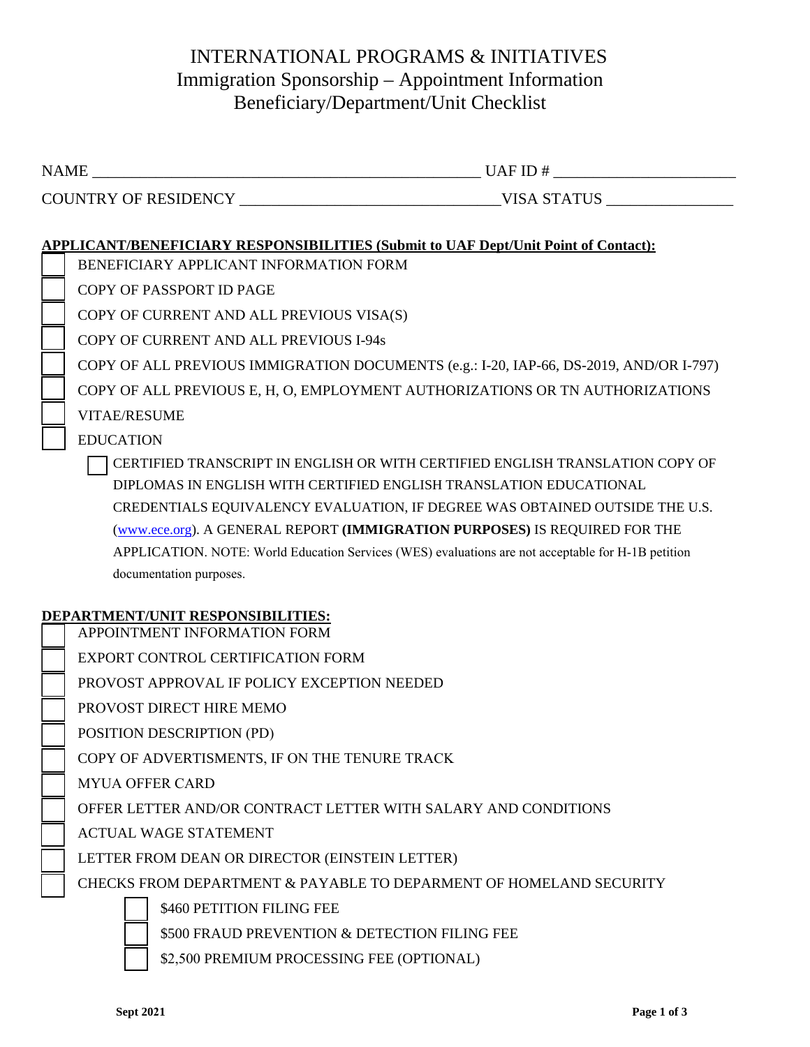# INTERNATIONAL PROGRAMS & INITIATIVES Immigration Sponsorship – Appointment Information Beneficiary/Department/Unit Checklist

| APPLICANT/BENEFICIARY RESPONSIBILITIES (Submit to UAF Dept/Unit Point of Contact): |                                                                                                    |
|------------------------------------------------------------------------------------|----------------------------------------------------------------------------------------------------|
| BENEFICIARY APPLICANT INFORMATION FORM                                             |                                                                                                    |
| COPY OF PASSPORT ID PAGE                                                           |                                                                                                    |
| COPY OF CURRENT AND ALL PREVIOUS VISA(S)                                           |                                                                                                    |
| COPY OF CURRENT AND ALL PREVIOUS I-94s                                             |                                                                                                    |
|                                                                                    | COPY OF ALL PREVIOUS IMMIGRATION DOCUMENTS (e.g.: I-20, IAP-66, DS-2019, AND/OR I-797)             |
|                                                                                    | COPY OF ALL PREVIOUS E, H, O, EMPLOYMENT AUTHORIZATIONS OR TN AUTHORIZATIONS                       |
| <b>VITAE/RESUME</b>                                                                |                                                                                                    |
| <b>EDUCATION</b>                                                                   |                                                                                                    |
|                                                                                    | CERTIFIED TRANSCRIPT IN ENGLISH OR WITH CERTIFIED ENGLISH TRANSLATION COPY OF                      |
|                                                                                    | DIPLOMAS IN ENGLISH WITH CERTIFIED ENGLISH TRANSLATION EDUCATIONAL                                 |
|                                                                                    | CREDENTIALS EQUIVALENCY EVALUATION, IF DEGREE WAS OBTAINED OUTSIDE THE U.S.                        |
|                                                                                    | (www.ece.org). A GENERAL REPORT ( <b>IMMIGRATION PURPOSES</b> ) IS REQUIRED FOR THE                |
|                                                                                    | APPLICATION. NOTE: World Education Services (WES) evaluations are not acceptable for H-1B petition |
| documentation purposes.                                                            |                                                                                                    |

# **DEPARTMENT/UNIT RESPONSIBILITIES:**

| APPOINTMENT INFORMATION FORM |
|------------------------------|
|                              |

EXPORT CONTROL CERTIFICATION FORM

PROVOST APPROVAL IF POLICY EXCEPTION NEEDED

PROVOST DIRECT HIRE MEMO

POSITION DESCRIPTION (PD)

COPY OF ADVERTISMENTS, IF ON THE TENURE TRACK

MYUA OFFER CARD

OFFER LETTER AND/OR CONTRACT LETTER WITH SALARY AND CONDITIONS

ACTUAL WAGE STATEMENT

LETTER FROM DEAN OR DIRECTOR (EINSTEIN LETTER)

CHECKS FROM DEPARTMENT & PAYABLE TO DEPARMENT OF HOMELAND SECURITY

\$460 PETITION FILING FEE

\$500 FRAUD PREVENTION & DETECTION FILING FEE

\$2,500 PREMIUM PROCESSING FEE (OPTIONAL)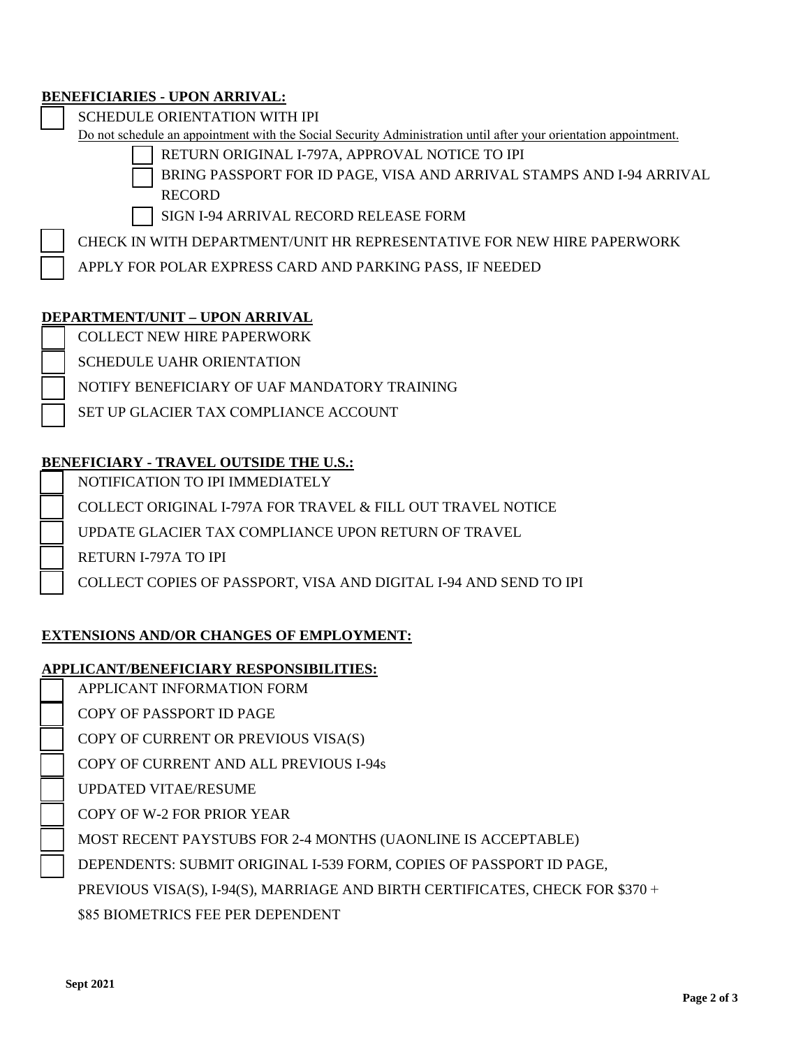#### **BENEFICIARIES - UPON ARRIVAL:**

SCHEDULE ORIENTATION WITH IPI

Do not schedule an appointment with the Social Security Administration until after your orientation appointment.

- RETURN ORIGINAL I-797A, APPROVAL NOTICE TO IPI
- BRING PASSPORT FOR ID PAGE, VISA AND ARRIVAL STAMPS AND I-94 ARRIVAL RECORD
- SIGN I-94 ARRIVAL RECORD RELEASE FORM

CHECK IN WITH DEPARTMENT/UNIT HR REPRESENTATIVE FOR NEW HIRE PAPERWORK

APPLY FOR POLAR EXPRESS CARD AND PARKING PASS, IF NEEDED

#### **DEPARTMENT/UNIT – UPON ARRIVAL**

COLLECT NEW HIRE PAPERWORK

SCHEDULE UAHR ORIENTATION

NOTIFY BENEFICIARY OF UAF MANDATORY TRAINING

SET UP GLACIER TAX COMPLIANCE ACCOUNT

# **BENEFICIARY - TRAVEL OUTSIDE THE U.S.:**

NOTIFICATION TO IPI IMMEDIATELY

COLLECT ORIGINAL I-797A FOR TRAVEL & FILL OUT TRAVEL NOTICE

UPDATE GLACIER TAX COMPLIANCE UPON RETURN OF TRAVEL

RETURN I-797A TO IPI

COLLECT COPIES OF PASSPORT, VISA AND DIGITAL I-94 AND SEND TO IPI

### **EXTENSIONS AND/OR CHANGES OF EMPLOYMENT:**

### **APPLICANT/BENEFICIARY RESPONSIBILITIES:**

- APPLICANT INFORMATION FORM
- COPY OF PASSPORT ID PAGE

COPY OF CURRENT OR PREVIOUS VISA(S)

COPY OF CURRENT AND ALL PREVIOUS I-94s

UPDATED VITAE/RESUME

COPY OF W-2 FOR PRIOR YEAR

MOST RECENT PAYSTUBS FOR 2-4 MONTHS (UAONLINE IS ACCEPTABLE)

DEPENDENTS: SUBMIT ORIGINAL I-539 FORM, COPIES OF PASSPORT ID PAGE,

PREVIOUS VISA(S), I-94(S), MARRIAGE AND BIRTH CERTIFICATES, CHECK FOR \$370 +

\$85 BIOMETRICS FEE PER DEPENDENT